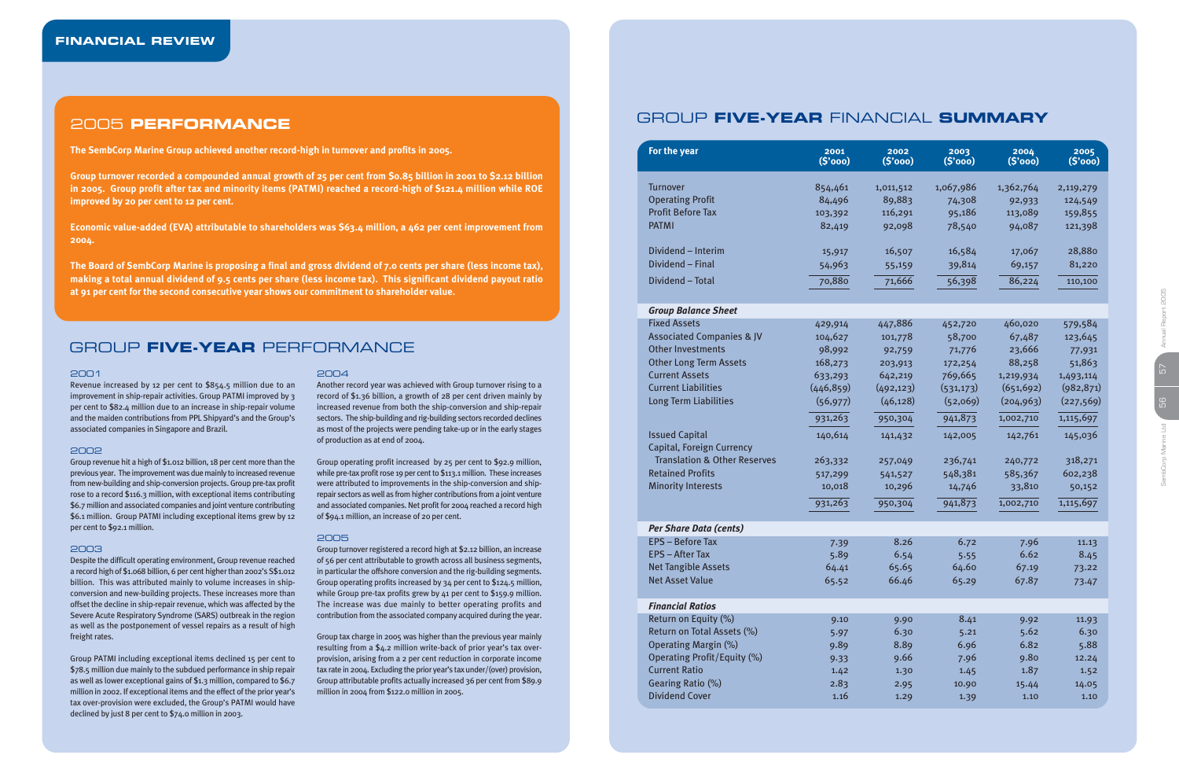# GROUP **FIVE-YEAR** FINANCIAL **SUMMARY**

#### 2001

Revenue increased by 12 per cent to \$854.5 million due to an improvement in ship-repair activities. Group PATMI improved by 3 per cent to \$82.4 million due to an increase in ship-repair volume and the maiden contributions from PPL Shipyard's and the Group's associated companies in Singapore and Brazil.

#### 2002

Group revenue hit a high of \$1.012 billion, 18 per cent more than the previous year. The improvement was due mainly to increased revenue from new-building and ship-conversion projects. Group pre-tax profit rose to a record \$116.3 million, with exceptional items contributing \$6.7 million and associated companies and joint venture contributing \$6.1 million. Group PATMI including exceptional items grew by 12 per cent to \$92.1 million.

#### 2003

Despite the difficult operating environment, Group revenue reached a record high of \$1.068 billion, 6 per cent higher than 2002's S\$1.012 billion. This was attributed mainly to volume increases in shipconversion and new-building projects. These increases more than offset the decline in ship-repair revenue, which was affected by the Severe Acute Respiratory Syndrome (SARS) outbreak in the region as well as the postponement of vessel repairs as a result of high freight rates.

Group PATMI including exceptional items declined 15 per cent to \$78.5 million due mainly to the subdued performance in ship repair as well as lower exceptional gains of \$1.3 million, compared to \$6.7 million in 2002. If exceptional items and the effect of the prior year's tax over-provision were excluded, the Group's PATMI would have declined by just 8 per cent to \$74.0 million in 2003.

#### 2004

Another record year was achieved with Group turnover rising to a record of \$1.36 billion, a growth of 28 per cent driven mainly by increased revenue from both the ship-conversion and ship-repair sectors. The ship-building and rig-building sectors recorded declines as most of the projects were pending take-up or in the early stages of production as at end of 2004.

Group operating profit increased by 25 per cent to \$92.9 million, while pre-tax profit rose 19 per cent to \$113.1 million. These increases were attributed to improvements in the ship-conversion and shiprepair sectors as well as from higher contributions from a joint venture and associated companies. Net profit for 2004 reached a record high of \$94.1 million, an increase of 20 per cent.

#### 2005

Group turnover registered a record high at \$2.12 billion, an increase of 56 per cent attributable to growth across all business segments, in particular the offshore conversion and the rig-building segments. Group operating profits increased by 34 per cent to \$124.5 million, while Group pre-tax profits grew by 41 per cent to \$159.9 million. The increase was due mainly to better operating profits and contribution from the associated company acquired during the year.

Group tax charge in 2005 was higher than the previous year mainly resulting from a \$4.2 million write-back of prior year's tax overprovision, arising from a 2 per cent reduction in corporate income tax rate in 2004. Excluding the prior year's tax under/(over) provision, Group attributable profits actually increased 36 per cent from \$89.9 million in 2004 from \$122.0 million in 2005.

## GROUP **FIVE-YEAR** PERFORMANCE

### 2005 **PERFORMANCE**

**The SembCorp Marine Group achieved another record-high in turnover and profits in 2005.**

**Group turnover recorded a compounded annual growth of 25 per cent from \$0.85 billion in 2001 to \$2.12 billion in 2005. Group profit after tax and minority items (PATMI) reached a record-high of \$121.4 million while ROE improved by 20 per cent to 12 per cent.**

**Economic value-added (EVA) attributable to shareholders was \$63.4 million, a 462 per cent improvement from 2004.**

**The Board of SembCorp Marine is proposing a final and gross dividend of 7.0 cents per share (less income tax), making a total annual dividend of 9.5 cents per share (less income tax). This significant dividend payout ratio at 91 per cent for the second consecutive year shows our commitment to shareholder value.**

| For the year                                       | 2001<br>(S'000) | 2002<br>(5'000) | 2003<br>(S'000) | 2004<br>(S'000) | 2005<br>(S'000) |
|----------------------------------------------------|-----------------|-----------------|-----------------|-----------------|-----------------|
| <b>Turnover</b>                                    | 854,461         | 1,011,512       | 1,067,986       | 1,362,764       | 2,119,279       |
| <b>Operating Profit</b>                            | 84,496          | 89,883          | 74,308          | 92,933          | 124,549         |
| <b>Profit Before Tax</b>                           | 103,392         | 116,291         | 95,186          | 113,089         | 159,855         |
| <b>PATMI</b>                                       | 82,419          | 92,098          | 78,540          | 94,087          | 121,398         |
| Dividend - Interim                                 | 15,917          | 16,507          | 16,584          | 17,067          | 28,880          |
| Dividend - Final                                   | 54,963          | 55,159          | 39,814          | 69,157          | 81,220          |
| Dividend - Total                                   | 70,880          | 71,666          | 56,398          | 86,224          | 110,100         |
| <b>Group Balance Sheet</b>                         |                 |                 |                 |                 |                 |
| <b>Fixed Assets</b>                                | 429,914         | 447,886         | 452,720         | 460,020         | 579,584         |
| <b>Associated Companies &amp; JV</b>               | 104,627         | 101,778         | 58,700          | 67,487          | 123,645         |
| <b>Other Investments</b>                           | 98,992          | 92,759          | 71,776          | 23,666          | 77,931          |
| <b>Other Long Term Assets</b>                      | 168,273         | 203,913         | 172,254         | 88,258          | 51,863          |
| <b>Current Assets</b>                              | 633,293         | 642,219         | 769,665         | 1,219,934       | 1,493,114       |
| <b>Current Liabilities</b>                         | (446, 859)      | (492, 123)      | (531, 173)      | (651, 692)      | (982, 871)      |
| Long Term Liabilities                              | (56, 977)       | (46, 128)       | (52,069)        | (204, 963)      | (227, 569)      |
|                                                    | 931,263         | 950,304         | 941,873         | 1,002,710       | 1,115,697       |
| <b>Issued Capital</b><br>Capital, Foreign Currency | 140,614         | 141,432         | 142,005         | 142,761         | 145,036         |
| <b>Translation &amp; Other Reserves</b>            | 263,332         | 257,049         | 236,741         | 240,772         | 318,271         |
| <b>Retained Profits</b>                            | 517,299         | 541,527         | 548,381         | 585,367         | 602,238         |
| <b>Minority Interests</b>                          | 10,018          | 10,296          | 14,746          | 33,810          | 50,152          |
|                                                    | 931,263         | 950,304         | 941,873         | 1,002,710       | 1,115,697       |
| <b>Per Share Data (cents)</b>                      |                 |                 |                 |                 |                 |
| <b>EPS - Before Tax</b>                            | 7.39            | 8.26            | 6.72            | 7.96            | 11.13           |
| EPS - After Tax                                    | 5.89            | 6.54            | 5.55            | 6.62            | 8.45            |
| <b>Net Tangible Assets</b>                         | 64.41           | 65.65           | 64.60           | 67.19           | 73.22           |
| <b>Net Asset Value</b>                             | 65.52           | 66.46           | 65.29           | 67.87           | 73.47           |
| <b>Financial Ratios</b>                            |                 |                 |                 |                 |                 |
| Return on Equity (%)                               | 9.10            | 9.90            | 8.41            | 9.92            | 11.93           |
| Return on Total Assets (%)                         | 5.97            | 6.30            | 5.21            | 5.62            | 6.30            |
| <b>Operating Margin (%)</b>                        | 9.89            | 8.89            | 6.96            | 6.82            | 5.88            |
| Operating Profit/Equity (%)                        | 9.33            | 9.66            | 7.96            | 9.80            | 12.24           |
| <b>Current Ratio</b>                               | 1.42            | 1.30            | 1.45            | 1.87            | 1.52            |
| Gearing Ratio (%)<br><b>Dividend Cover</b>         | 2.83<br>1.16    | 2.95<br>1.29    | 10.90<br>1.39   | 15.44<br>1.10   | 14.05<br>1.10   |
|                                                    |                 |                 |                 |                 |                 |